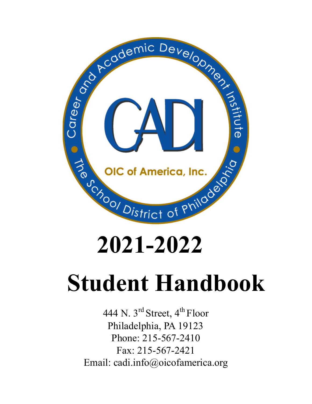

# **2021-2022**

# **Student Handbook**

444 N. 3<sup>rd</sup> Street, 4<sup>th</sup> Floor Philadelphia, PA 19123 Phone: 215-567-2410 Fax: 215-567-2421 Email: cadi.info@oicofamerica.org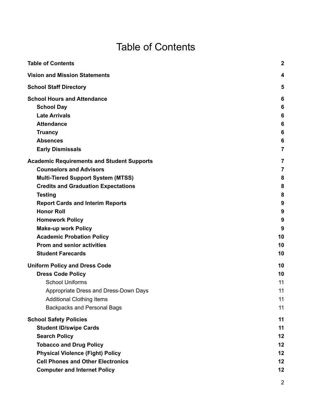# Table of Contents

<span id="page-1-0"></span>

| <b>Table of Contents</b>                                                                                                                                                                                                                                                                                                                                                                                                      | $\boldsymbol{2}$                                                                               |
|-------------------------------------------------------------------------------------------------------------------------------------------------------------------------------------------------------------------------------------------------------------------------------------------------------------------------------------------------------------------------------------------------------------------------------|------------------------------------------------------------------------------------------------|
| <b>Vision and Mission Statements</b>                                                                                                                                                                                                                                                                                                                                                                                          | 4                                                                                              |
| <b>School Staff Directory</b>                                                                                                                                                                                                                                                                                                                                                                                                 | 5                                                                                              |
| <b>School Hours and Attendance</b><br><b>School Day</b><br><b>Late Arrivals</b><br><b>Attendance</b><br><b>Truancy</b><br><b>Absences</b>                                                                                                                                                                                                                                                                                     | 6<br>6<br>6<br>6<br>6<br>6                                                                     |
| <b>Early Dismissals</b>                                                                                                                                                                                                                                                                                                                                                                                                       | $\overline{7}$                                                                                 |
| <b>Academic Requirements and Student Supports</b><br><b>Counselors and Advisors</b><br><b>Multi-Tiered Support System (MTSS)</b><br><b>Credits and Graduation Expectations</b><br><b>Testing</b><br><b>Report Cards and Interim Reports</b><br><b>Honor Roll</b><br><b>Homework Policy</b><br><b>Make-up work Policy</b><br><b>Academic Probation Policy</b><br><b>Prom and senior activities</b><br><b>Student Farecards</b> | $\overline{\mathbf{r}}$<br>$\overline{7}$<br>8<br>8<br>8<br>9<br>9<br>9<br>9<br>10<br>10<br>10 |
| <b>Uniform Policy and Dress Code</b>                                                                                                                                                                                                                                                                                                                                                                                          | 10                                                                                             |
| <b>Dress Code Policy</b><br><b>School Uniforms</b><br>Appropriate Dress and Dress-Down Days<br><b>Additional Clothing Items</b><br><b>Backpacks and Personal Bags</b>                                                                                                                                                                                                                                                         | 10<br>11<br>11<br>11<br>11                                                                     |
| <b>School Safety Policies</b><br><b>Student ID/swipe Cards</b><br><b>Search Policy</b><br><b>Tobacco and Drug Policy</b><br><b>Physical Violence (Fight) Policy</b><br><b>Cell Phones and Other Electronics</b><br><b>Computer and Internet Policy</b>                                                                                                                                                                        | 11<br>11<br>12<br>12<br>12<br>12<br>12                                                         |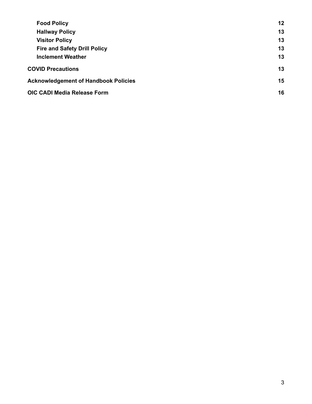| <b>Food Policy</b>                          | 12 |
|---------------------------------------------|----|
| <b>Hallway Policy</b>                       | 13 |
| <b>Visitor Policy</b>                       | 13 |
| <b>Fire and Safety Drill Policy</b>         | 13 |
| <b>Inclement Weather</b>                    | 13 |
| <b>COVID Precautions</b>                    | 13 |
| <b>Acknowledgement of Handbook Policies</b> | 15 |
| OIC CADI Media Release Form                 | 16 |
|                                             |    |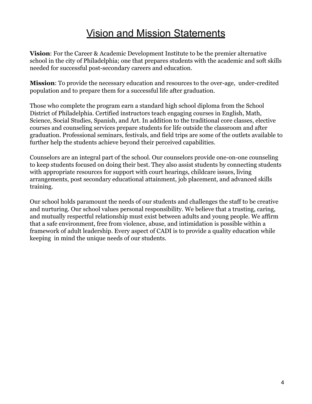# Vision and Mission Statements

<span id="page-3-0"></span>**Vision**: For the Career & Academic Development Institute to be the premier alternative school in the city of Philadelphia; one that prepares students with the academic and soft skills needed for successful post-secondary careers and education.

**Mission**: To provide the necessary education and resources to the over-age, under-credited population and to prepare them for a successful life after graduation.

Those who complete the program earn a standard high school diploma from the School District of Philadelphia. Certified instructors teach engaging courses in English, Math, Science, Social Studies, Spanish, and Art. In addition to the traditional core classes, elective courses and counseling services prepare students for life outside the classroom and after graduation. Professional seminars, festivals, and field trips are some of the outlets available to further help the students achieve beyond their perceived capabilities.

Counselors are an integral part of the school. Our counselors provide one-on-one counseling to keep students focused on doing their best. They also assist students by connecting students with appropriate resources for support with court hearings, childcare issues, living arrangements, post secondary educational attainment, job placement, and advanced skills training.

Our school holds paramount the needs of our students and challenges the staff to be creative and nurturing. Our school values personal responsibility. We believe that a trusting, caring, and mutually respectful relationship must exist between adults and young people. We affirm that a safe environment, free from violence, abuse, and intimidation is possible within a framework of adult leadership. Every aspect of CADI is to provide a quality education while keeping in mind the unique needs of our students.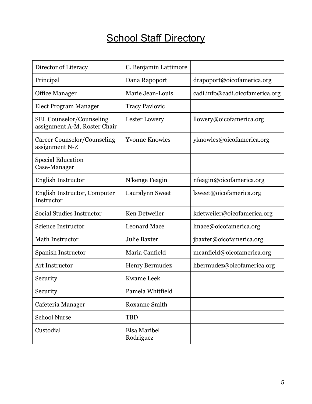# **School Staff Directory**

<span id="page-4-0"></span>

| Director of Literacy                                            | C. Benjamin Lattimore     |                                 |
|-----------------------------------------------------------------|---------------------------|---------------------------------|
| Principal                                                       | Dana Rapoport             | drapoport@oicofamerica.org      |
| <b>Office Manager</b>                                           | Marie Jean-Louis          | cadi.info@cadi.oicofamerica.org |
| <b>Elect Program Manager</b>                                    | <b>Tracy Pavlovic</b>     |                                 |
| <b>SEL Counselor/Counseling</b><br>assignment A-M, Roster Chair | Lester Lowery             | llowery@oicofamerica.org        |
| Career Counselor/Counseling<br>assignment N-Z                   | <b>Yvonne Knowles</b>     | yknowles@oicofamerica.org       |
| <b>Special Education</b><br>Case-Manager                        |                           |                                 |
| <b>English Instructor</b>                                       | N'kenge Feagin            | nfeagin@oicofamerica.org        |
| English Instructor, Computer<br>Instructor                      | Lauralynn Sweet           | lsweet@oicofamerica.org         |
| Social Studies Instructor                                       | Ken Detweiler             | kdetweiler@oicofamerica.org     |
| <b>Science Instructor</b>                                       | <b>Leonard Mace</b>       | lmace@oicofamerica.org          |
| Math Instructor                                                 | <b>Julie Baxter</b>       | jbaxter@oicofamerica.org        |
| Spanish Instructor                                              | Maria Canfield            | mcanfield@oicofamerica.org      |
| <b>Art Instructor</b>                                           | <b>Henry Bermudez</b>     | hbermudez@oicofamerica.org      |
| Security                                                        | <b>Kwame Leek</b>         |                                 |
| Security                                                        | Pamela Whitfield          |                                 |
| Cafeteria Manager                                               | <b>Roxanne Smith</b>      |                                 |
| <b>School Nurse</b>                                             | <b>TBD</b>                |                                 |
| Custodial                                                       | Elsa Maribel<br>Rodriguez |                                 |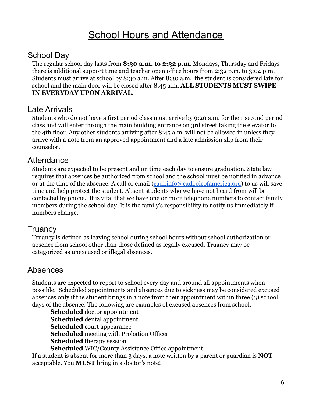# **School Hours and Attendance**

#### <span id="page-5-1"></span><span id="page-5-0"></span>School Day

The regular school day lasts from **8:30 a.m. to 2:32 p.m**. Mondays, Thursday and Fridays there is additional support time and teacher open office hours from 2:32 p.m. to 3:04 p.m. Students must arrive at school by 8:30 a.m. After 8:30 a.m. the student is considered late for school and the main door will be closed after 8:45 a.m. **ALL STUDENTS MUST SWIPE IN EVERYDAY UPON ARRIVAL.**

#### <span id="page-5-2"></span>Late Arrivals

Students who do not have a first period class must arrive by 9:20 a.m. for their second period class and will enter through the main building entrance on 3rd street,taking the elevator to the 4th floor. Any other students arriving after 8:45 a.m. will not be allowed in unless they arrive with a note from an approved appointment and a late admission slip from their counselor.

#### <span id="page-5-3"></span>**Attendance**

Students are expected to be present and on time each day to ensure graduation. State law requires that absences be authorized from school and the school must be notified in advance or at the time of the absence. A call or email ([cadi.info@cadi.oicofamerica.org\)](mailto:cadi.info@cadi.oicofamerica.org) to us will save time and help protect the student. Absent students who we have not heard from will be contacted by phone. It is vital that we have one or more telephone numbers to contact family members during the school day. It is the family's responsibility to notify us immediately if numbers change.

#### <span id="page-5-4"></span>**Truancy**

Truancy is defined as leaving school during school hours without school authorization or absence from school other than those defined as legally excused. Truancy may be categorized as unexcused or illegal absences.

## <span id="page-5-5"></span>Absences

Students are expected to report to school every day and around all appointments when possible. Scheduled appointments and absences due to sickness may be considered excused absences only if the student brings in a note from their appointment within three (3) school days of the absence. The following are examples of excused absences from school:

**Scheduled** doctor appointment **Scheduled** dental appointment **Scheduled** court appearance **Scheduled** meeting with Probation Officer **Scheduled** therapy session **Scheduled** WIC/County Assistance Office appointment

If a student is absent for more than 3 days, a note written by a parent or guardian is **NOT** acceptable. You **MUST** bring in a doctor's note!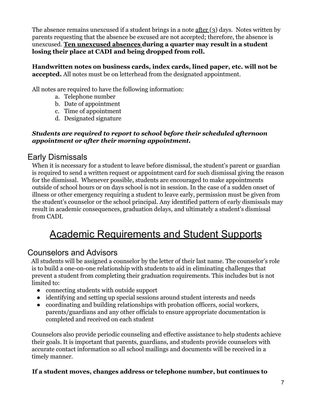The absence remains unexcused if a student brings in a note after (3) days. Notes written by parents requesting that the absence be excused are not accepted; therefore, the absence is unexcused. **Ten unexcused absences during a quarter may result in a student losing their place at CADI and being dropped from roll.**

**Handwritten notes on business cards, index cards, lined paper, etc. will not be accepted.** All notes must be on letterhead from the designated appointment.

All notes are required to have the following information:

- a. Telephone number
- b. Date of appointment
- c. Time of appointment
- d. Designated signature

#### *Students are required to report to school before their scheduled afternoon appointment or after their morning appointment.*

## <span id="page-6-0"></span>Early Dismissals

When it is necessary for a student to leave before dismissal, the student's parent or guardian is required to send a written request or appointment card for such dismissal giving the reason for the dismissal. Whenever possible, students are encouraged to make appointments outside of school hours or on days school is not in session. In the case of a sudden onset of illness or other emergency requiring a student to leave early, permission must be given from the student's counselor or the school principal. Any identified pattern of early dismissals may result in academic consequences, graduation delays, and ultimately a student's dismissal from CADI.

# <span id="page-6-1"></span>Academic Requirements and Student Supports

## <span id="page-6-2"></span>Counselors and Advisors

All students will be assigned a counselor by the letter of their last name. The counselor's role is to build a one-on-one relationship with students to aid in eliminating challenges that prevent a student from completing their graduation requirements. This includes but is not limited to:

- connecting students with outside support
- identifying and setting up special sessions around student interests and needs
- coordinating and building relationships with probation officers, social workers, parents/guardians and any other officials to ensure appropriate documentation is completed and received on each student

Counselors also provide periodic counseling and effective assistance to help students achieve their goals. It is important that parents, guardians, and students provide counselors with accurate contact information so all school mailings and documents will be received in a timely manner.

#### **If a student moves, changes address or telephone number, but continues to**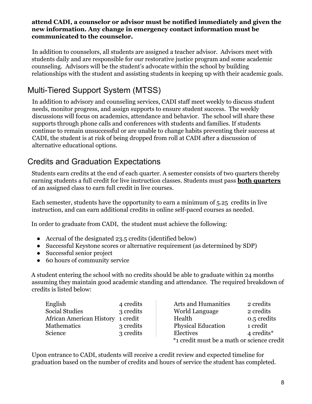#### **attend CADI, a counselor or advisor must be notified immediately and given the new information. Any change in emergency contact information must be communicated to the counselor.**

In addition to counselors, all students are assigned a teacher advisor. Advisors meet with students daily and are responsible for our restorative justice program and some academic counseling. Advisors will be the student's advocate within the school by building relationships with the student and assisting students in keeping up with their academic goals.

## <span id="page-7-0"></span>Multi-Tiered Support System (MTSS)

In addition to advisory and counseling services, CADI staff meet weekly to discuss student needs, monitor progress, and assign supports to ensure student success. The weekly discussions will focus on academics, attendance and behavior. The school will share these supports through phone calls and conferences with students and families. If students continue to remain unsuccessful or are unable to change habits preventing their success at CADI, the student is at risk of being dropped from roll at CADI after a discussion of alternative educational options.

## <span id="page-7-1"></span>Credits and Graduation Expectations

Students earn credits at the end of each quarter. A semester consists of two quarters thereby earning students a full credit for live instruction classes. Students must pass **both quarters** of an assigned class to earn full credit in live courses.

Each semester, students have the opportunity to earn a minimum of 5.25 credits in live instruction, and can earn additional credits in online self-paced courses as needed.

In order to graduate from CADI, the student must achieve the following:

- Accrual of the designated 23.5 credits (identified below)
- Successful Keystone scores or alternative requirement (as determined by SDP)
- Successful senior project
- 60 hours of community service

A student entering the school with no credits should be able to graduate within 24 months assuming they maintain good academic standing and attendance. The required breakdown of credits is listed below:

| English                           | 4 credits | <b>Arts and Humanities</b>                 | 2 credits   |
|-----------------------------------|-----------|--------------------------------------------|-------------|
| <b>Social Studies</b>             | 3 credits | World Language                             | 2 credits   |
| African American History 1 credit |           | Health                                     | 0.5 credits |
| <b>Mathematics</b>                | 3 credits | <b>Physical Education</b>                  | 1 credit    |
| Science                           | 3 credits | Electives                                  | 4 credits*  |
|                                   |           | *1 credit must be a math or science credit |             |

Upon entrance to CADI, students will receive a credit review and expected timeline for graduation based on the number of credits and hours of service the student has completed.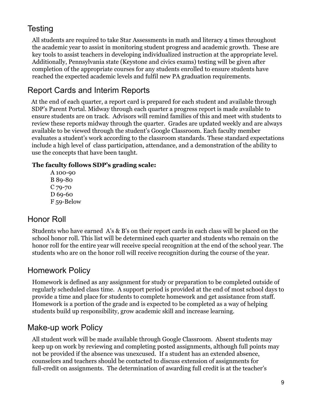## <span id="page-8-0"></span>**Testing**

All students are required to take Star Assessments in math and literacy 4 times throughout the academic year to assist in monitoring student progress and academic growth. These are key tools to assist teachers in developing individualized instruction at the appropriate level. Additionally, Pennsylvania state (Keystone and civics exams) testing will be given after completion of the appropriate courses for any students enrolled to ensure students have reached the expected academic levels and fulfil new PA graduation requirements.

## <span id="page-8-1"></span>Report Cards and Interim Reports

At the end of each quarter, a report card is prepared for each student and available through SDP's Parent Portal. Midway through each quarter a progress report is made available to ensure students are on track. Advisors will remind families of this and meet with students to review these reports midway through the quarter. Grades are updated weekly and are always available to be viewed through the student's Google Classroom. Each faculty member evaluates a student's work according to the classroom standards. These standard expectations include a high level of class participation, attendance, and a demonstration of the ability to use the concepts that have been taught.

#### **The faculty follows SDP's grading scale:**

A 100-90 B 89-80 C 79-70 D 69-60 F 59-Below

#### <span id="page-8-2"></span>Honor Roll

Students who have earned A's & B's on their report cards in each class will be placed on the school honor roll. This list will be determined each quarter and students who remain on the honor roll for the entire year will receive special recognition at the end of the school year. The students who are on the honor roll will receive recognition during the course of the year.

#### <span id="page-8-3"></span>Homework Policy

Homework is defined as any assignment for study or preparation to be completed outside of regularly scheduled class time. A support period is provided at the end of most school days to provide a time and place for students to complete homework and get assistance from staff. Homework is a portion of the grade and is expected to be completed as a way of helping students build up responsibility, grow academic skill and increase learning.

#### <span id="page-8-4"></span>Make-up work Policy

All student work will be made available through Google Classroom. Absent students may keep up on work by reviewing and completing posted assignments, although full points may not be provided if the absence was unexcused. If a student has an extended absence, counselors and teachers should be contacted to discuss extension of assignments for full-credit on assignments. The determination of awarding full credit is at the teacher's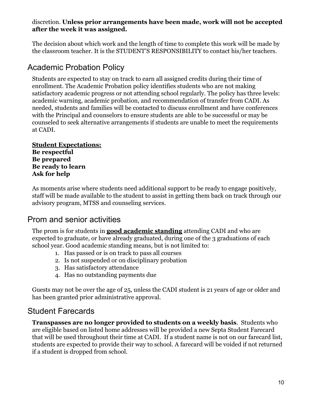#### discretion. **Unless prior arrangements have been made, work will not be accepted after the week it was assigned.**

The decision about which work and the length of time to complete this work will be made by the classroom teacher. It is the STUDENT'S RESPONSIBILITY to contact his/her teachers.

#### <span id="page-9-0"></span>Academic Probation Policy

Students are expected to stay on track to earn all assigned credits during their time of enrollment. The Academic Probation policy identifies students who are not making satisfactory academic progress or not attending school regularly. The policy has three levels: academic warning, academic probation, and recommendation of transfer from CADI. As needed, students and families will be contacted to discuss enrollment and have conferences with the Principal and counselors to ensure students are able to be successful or may be counseled to seek alternative arrangements if students are unable to meet the requirements at CADI.

**Student Expectations: Be respectful Be prepared Be ready to learn Ask for help**

As moments arise where students need additional support to be ready to engage positively, staff will be made available to the student to assist in getting them back on track through our advisory program, MTSS and counseling services.

#### <span id="page-9-1"></span>Prom and senior activities

The prom is for students in **good academic standing** attending CADI and who are expected to graduate, or have already graduated, during one of the 3 graduations of each school year. Good academic standing means, but is not limited to:

- 1. Has passed or is on track to pass all courses
- 2. Is not suspended or on disciplinary probation
- 3. Has satisfactory attendance
- 4. Has no outstanding payments due

Guests may not be over the age of 25, unless the CADI student is 21 years of age or older and has been granted prior administrative approval.

#### <span id="page-9-2"></span>Student Farecards

**Transpasses are no longer provided to students on a weekly basis**. Students who are eligible based on listed home addresses will be provided a new Septa Student Farecard that will be used throughout their time at CADI. If a student name is not on our farecard list, students are expected to provide their way to school. A farecard will be voided if not returned if a student is dropped from school.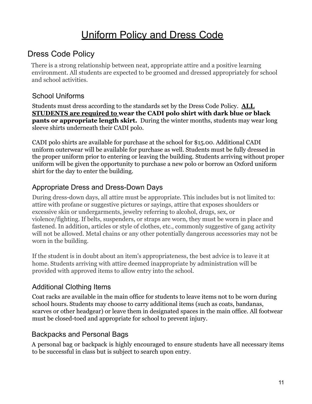# Uniform Policy and Dress Code

#### <span id="page-10-1"></span><span id="page-10-0"></span>Dress Code Policy

There is a strong relationship between neat, appropriate attire and a positive learning environment. All students are expected to be groomed and dressed appropriately for school and school activities.

#### <span id="page-10-2"></span>School Uniforms

Students must dress according to the standards set by the Dress Code Policy. **ALL STUDENTS are required to wear the CADI polo shirt with dark blue or black pants or appropriate length skirt.** During the winter months, students may wear long sleeve shirts underneath their CADI polo.

CADI polo shirts are available for purchase at the school for \$15.00. Additional CADI uniform outerwear will be available for purchase as well. Students must be fully dressed in the proper uniform prior to entering or leaving the building. Students arriving without proper uniform will be given the opportunity to purchase a new polo or borrow an Oxford uniform shirt for the day to enter the building.

#### <span id="page-10-3"></span>Appropriate Dress and Dress-Down Days

During dress-down days, all attire must be appropriate. This includes but is not limited to: attire with profane or suggestive pictures or sayings, attire that exposes shoulders or excessive skin or undergarments, jewelry referring to alcohol, drugs, sex, or violence/fighting. If belts, suspenders, or straps are worn, they must be worn in place and fastened. In addition, articles or style of clothes, etc., commonly suggestive of gang activity will not be allowed. Metal chains or any other potentially dangerous accessories may not be worn in the building.

If the student is in doubt about an item's appropriateness, the best advice is to leave it at home. Students arriving with attire deemed inappropriate by administration will be provided with approved items to allow entry into the school.

#### <span id="page-10-4"></span>Additional Clothing Items

Coat racks are available in the main office for students to leave items not to be worn during school hours. Students may choose to carry additional items (such as coats, bandanas, scarves or other headgear) or leave them in designated spaces in the main office. All footwear must be closed-toed and appropriate for school to prevent injury.

#### <span id="page-10-5"></span>Backpacks and Personal Bags

A personal bag or backpack is highly encouraged to ensure students have all necessary items to be successful in class but is subject to search upon entry.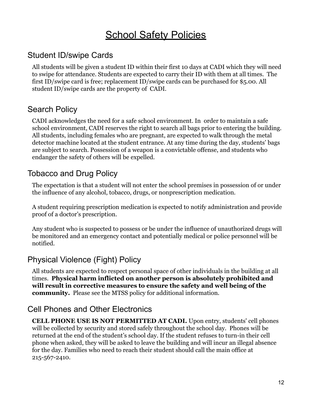# **School Safety Policies**

#### <span id="page-11-1"></span><span id="page-11-0"></span>Student ID/swipe Cards

All students will be given a student ID within their first 10 days at CADI which they will need to swipe for attendance. Students are expected to carry their ID with them at all times. The first ID/swipe card is free; replacement ID/swipe cards can be purchased for \$5.00. All student ID/swipe cards are the property of CADI.

#### <span id="page-11-2"></span>Search Policy

CADI acknowledges the need for a safe school environment. In order to maintain a safe school environment, CADI reserves the right to search all bags prior to entering the building. All students, including females who are pregnant, are expected to walk through the metal detector machine located at the student entrance. At any time during the day, students' bags are subject to search. Possession of a weapon is a convictable offense, and students who endanger the safety of others will be expelled.

#### <span id="page-11-3"></span>Tobacco and Drug Policy

The expectation is that a student will not enter the school premises in possession of or under the influence of any alcohol, tobacco, drugs, or nonprescription medication.

A student requiring prescription medication is expected to notify administration and provide proof of a doctor's prescription.

Any student who is suspected to possess or be under the influence of unauthorized drugs will be monitored and an emergency contact and potentially medical or police personnel will be notified.

#### <span id="page-11-4"></span>Physical Violence (Fight) Policy

All students are expected to respect personal space of other individuals in the building at all times. **Physical harm inflicted on another person is absolutely prohibited and will result in corrective measures to ensure the safety and well being of the community.** Please see the MTSS policy for additional information.

#### <span id="page-11-5"></span>Cell Phones and Other Electronics

**CELL PHONE USE IS NOT PERMITTED AT CADI.** Upon entry, students' cell phones will be collected by security and stored safely throughout the school day. Phones will be returned at the end of the student's school day. If the student refuses to turn-in their cell phone when asked, they will be asked to leave the building and will incur an illegal absence for the day. Families who need to reach their student should call the main office at 215-567-2410.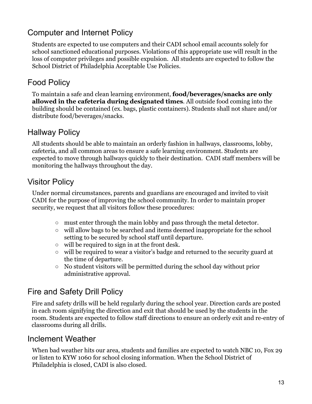## <span id="page-12-0"></span>Computer and Internet Policy

Students are expected to use computers and their CADI school email accounts solely for school sanctioned educational purposes. Violations of this appropriate use will result in the loss of computer privileges and possible expulsion. All students are expected to follow the School District of Philadelphia Acceptable Use Policies.

## <span id="page-12-1"></span>Food Policy

To maintain a safe and clean learning environment, **food/beverages/snacks are only allowed in the cafeteria during designated times**. All outside food coming into the building should be contained (ex. bags, plastic containers). Students shall not share and/or distribute food/beverages/snacks.

#### <span id="page-12-2"></span>Hallway Policy

All students should be able to maintain an orderly fashion in hallways, classrooms, lobby, cafeteria, and all common areas to ensure a safe learning environment. Students are expected to move through hallways quickly to their destination. CADI staff members will be monitoring the hallways throughout the day.

#### <span id="page-12-3"></span>Visitor Policy

Under normal circumstances, parents and guardians are encouraged and invited to visit CADI for the purpose of improving the school community. In order to maintain proper security, we request that all visitors follow these procedures:

- must enter through the main lobby and pass through the metal detector.
- will allow bags to be searched and items deemed inappropriate for the school setting to be secured by school staff until departure.
- will be required to sign in at the front desk.
- will be required to wear a visitor's badge and returned to the security guard at the time of departure.
- No student visitors will be permitted during the school day without prior administrative approval.

## <span id="page-12-4"></span>Fire and Safety Drill Policy

Fire and safety drills will be held regularly during the school year. Direction cards are posted in each room signifying the direction and exit that should be used by the students in the room. Students are expected to follow staff directions to ensure an orderly exit and re-entry of classrooms during all drills.

#### <span id="page-12-5"></span>Inclement Weather

When bad weather hits our area, students and families are expected to watch NBC 10, Fox 29 or listen to KYW 1060 for school closing information. When the School District of Philadelphia is closed, CADI is also closed.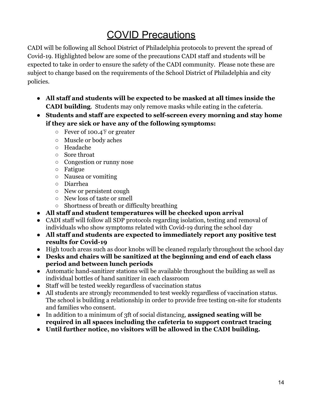# COVID Precautions

<span id="page-13-0"></span>CADI will be following all School District of Philadelphia protocols to prevent the spread of Covid-19. Highlighted below are some of the precautions CADI staff and students will be expected to take in order to ensure the safety of the CADI community. Please note these are subject to change based on the requirements of the School District of Philadelphia and city policies.

- **All staff and students will be expected to be masked at all times inside the CADI building**. Students may only remove masks while eating in the cafeteria.
- **● Students and staff are expected to self-screen every morning and stay home if they are sick or have any of the following symptoms:**
	- Fever of 100.4℉ or greater
	- Muscle or body aches
	- Headache
	- Sore throat
	- Congestion or runny nose
	- Fatigue
	- Nausea or vomiting
	- Diarrhea
	- New or persistent cough
	- New loss of taste or smell
	- Shortness of breath or difficulty breathing
- **● All staff and student temperatures will be checked upon arrival**
- CADI staff will follow all SDP protocols regarding isolation, testing and removal of individuals who show symptoms related with Covid-19 during the school day
- **● All staff and students are expected to immediately report any positive test results for Covid-19**
- High touch areas such as door knobs will be cleaned regularly throughout the school day
- **● Desks and chairs will be sanitized at the beginning and end of each class period and between lunch periods**
- Automatic hand-sanitizer stations will be available throughout the building as well as individual bottles of hand sanitizer in each classroom
- Staff will be tested weekly regardless of vaccination status
- All students are strongly recommended to test weekly regardless of vaccination status. The school is building a relationship in order to provide free testing on-site for students and families who consent.
- In addition to a minimum of 3ft of social distancing, **assigned seating will be required in all spaces including the cafeteria to support contract tracing**
- **● Until further notice, no visitors will be allowed in the CADI building.**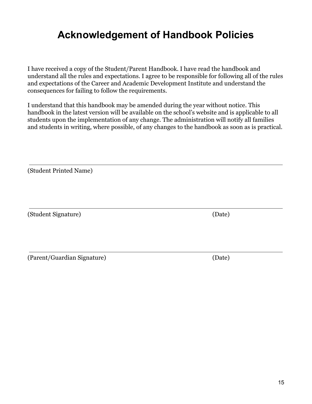## <span id="page-14-0"></span>**Acknowledgement of Handbook Policies**

I have received a copy of the Student/Parent Handbook. I have read the handbook and understand all the rules and expectations. I agree to be responsible for following all of the rules and expectations of the Career and Academic Development Institute and understand the consequences for failing to follow the requirements.

I understand that this handbook may be amended during the year without notice. This handbook in the latest version will be available on the school's website and is applicable to all students upon the implementation of any change. The administration will notify all families and students in writing, where possible, of any changes to the handbook as soon as is practical.

(Student Printed Name)

(Student Signature) (Date)

(Parent/Guardian Signature) (Date)